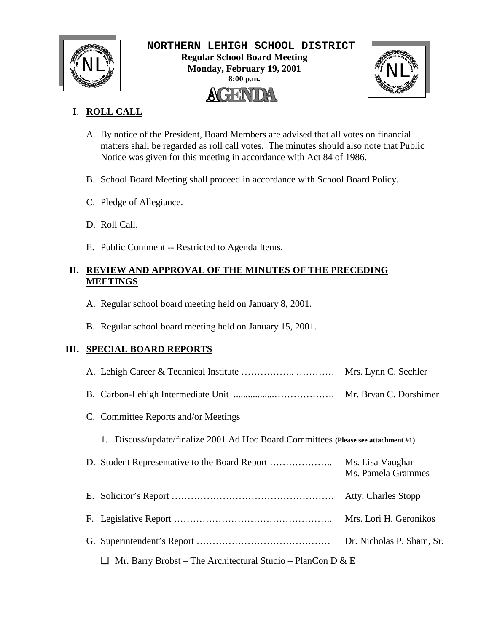

 **NORTHERN LEHIGH SCHOOL DISTRICT Regular School Board Meeting**  $\text{NLL}_{\text{M}}^{\text{M}}$  Regular School Board Meeting<br>Monday, February 19, 2001<br>8:00 p.m. **Monday, February 19, 2001 8:00 p.m.** AGENDA



# **I**. **ROLL CALL**

- A. By notice of the President, Board Members are advised that all votes on financial matters shall be regarded as roll call votes. The minutes should also note that Public Notice was given for this meeting in accordance with Act 84 of 1986.
- B. School Board Meeting shall proceed in accordance with School Board Policy.
- C. Pledge of Allegiance.
- D. Roll Call.
- E. Public Comment -- Restricted to Agenda Items.

## **II. REVIEW AND APPROVAL OF THE MINUTES OF THE PRECEDING MEETINGS**

- A. Regular school board meeting held on January 8, 2001.
- B. Regular school board meeting held on January 15, 2001.

## **III. SPECIAL BOARD REPORTS**

|                                                                                       | Mrs. Lynn C. Sechler                   |
|---------------------------------------------------------------------------------------|----------------------------------------|
|                                                                                       | Mr. Bryan C. Dorshimer                 |
| C. Committee Reports and/or Meetings                                                  |                                        |
| Discuss/update/finalize 2001 Ad Hoc Board Committees (Please see attachment #1)<br>1. |                                        |
|                                                                                       | Ms. Lisa Vaughan<br>Ms. Pamela Grammes |
|                                                                                       | <b>Atty. Charles Stopp</b>             |
|                                                                                       | Mrs. Lori H. Geronikos                 |
|                                                                                       | Dr. Nicholas P. Sham, Sr.              |
| Mr. Barry Brobst – The Architectural Studio – PlanCon D & E                           |                                        |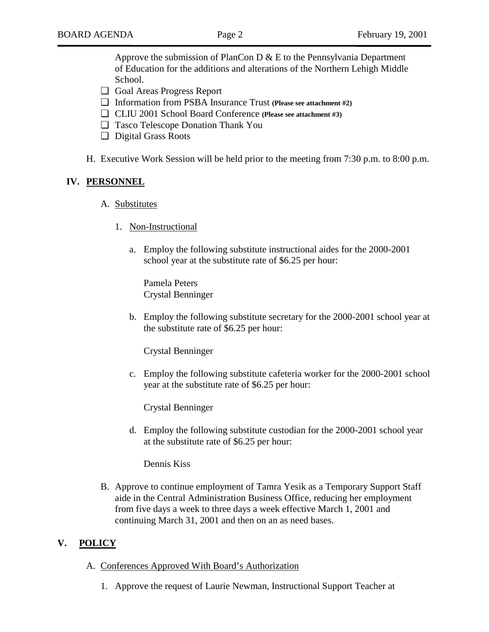Approve the submission of PlanCon  $D \& E$  to the Pennsylvania Department of Education for the additions and alterations of the Northern Lehigh Middle School.

- ❏ Goal Areas Progress Report
- ❏ Information from PSBA Insurance Trust **(Please see attachment #2)**
- ❏ CLIU 2001 School Board Conference **(Please see attachment #3)**
- ❏ Tasco Telescope Donation Thank You
- ❏ Digital Grass Roots
- H. Executive Work Session will be held prior to the meeting from 7:30 p.m. to 8:00 p.m.

#### **IV. PERSONNEL**

- A. Substitutes
	- 1. Non-Instructional
		- a. Employ the following substitute instructional aides for the 2000-2001 school year at the substitute rate of \$6.25 per hour:

Pamela Peters Crystal Benninger

b. Employ the following substitute secretary for the 2000-2001 school year at the substitute rate of \$6.25 per hour:

Crystal Benninger

c. Employ the following substitute cafeteria worker for the 2000-2001 school year at the substitute rate of \$6.25 per hour:

Crystal Benninger

d. Employ the following substitute custodian for the 2000-2001 school year at the substitute rate of \$6.25 per hour:

Dennis Kiss

B. Approve to continue employment of Tamra Yesik as a Temporary Support Staff aide in the Central Administration Business Office, reducing her employment from five days a week to three days a week effective March 1, 2001 and continuing March 31, 2001 and then on an as need bases.

#### **V. POLICY**

- A. Conferences Approved With Board's Authorization
	- 1. Approve the request of Laurie Newman, Instructional Support Teacher at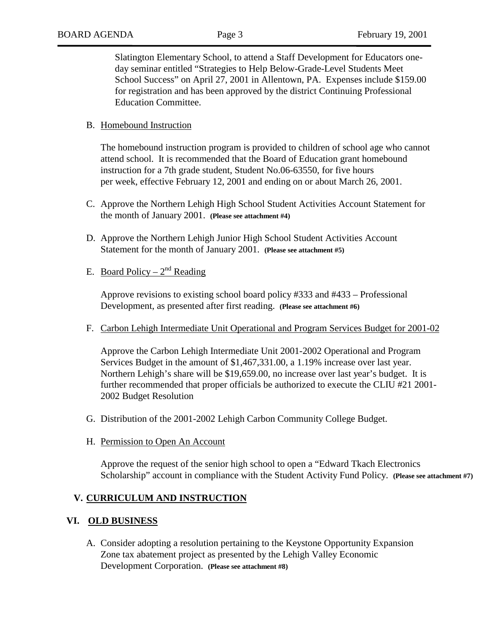Slatington Elementary School, to attend a Staff Development for Educators oneday seminar entitled "Strategies to Help Below-Grade-Level Students Meet School Success" on April 27, 2001 in Allentown, PA. Expenses include \$159.00 for registration and has been approved by the district Continuing Professional Education Committee.

### B. Homebound Instruction

The homebound instruction program is provided to children of school age who cannot attend school. It is recommended that the Board of Education grant homebound instruction for a 7th grade student, Student No.06-63550, for five hours per week, effective February 12, 2001 and ending on or about March 26, 2001.

- C. Approve the Northern Lehigh High School Student Activities Account Statement for the month of January 2001. **(Please see attachment #4)**
- D. Approve the Northern Lehigh Junior High School Student Activities Account Statement for the month of January 2001. **(Please see attachment #5)**
- E. Board Policy  $2^{nd}$  Reading

Approve revisions to existing school board policy #333 and #433 – Professional Development, as presented after first reading. **(Please see attachment #6)**

F. Carbon Lehigh Intermediate Unit Operational and Program Services Budget for 2001-02

Approve the Carbon Lehigh Intermediate Unit 2001-2002 Operational and Program Services Budget in the amount of \$1,467,331.00, a 1.19% increase over last year. Northern Lehigh's share will be \$19,659.00, no increase over last year's budget. It is further recommended that proper officials be authorized to execute the CLIU #21 2001- 2002 Budget Resolution

- G. Distribution of the 2001-2002 Lehigh Carbon Community College Budget.
- H. Permission to Open An Account

Approve the request of the senior high school to open a "Edward Tkach Electronics Scholarship" account in compliance with the Student Activity Fund Policy. **(Please see attachment #7)**

## **V. CURRICULUM AND INSTRUCTION**

#### **VI. OLD BUSINESS**

A. Consider adopting a resolution pertaining to the Keystone Opportunity Expansion Zone tax abatement project as presented by the Lehigh Valley Economic Development Corporation. **(Please see attachment #8)**